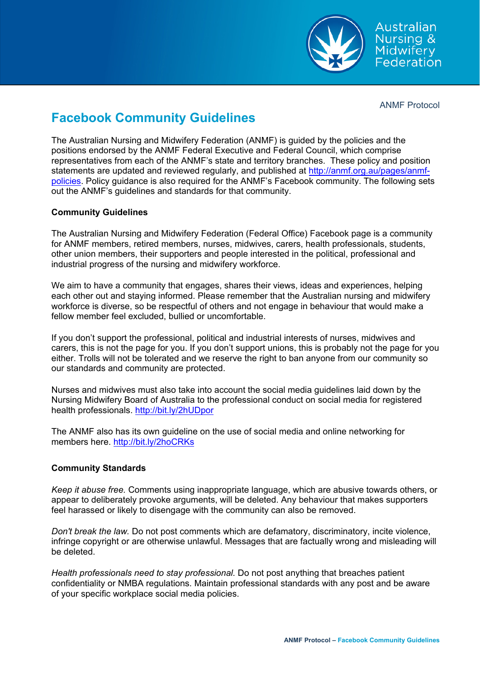

Australian Nursing & Midwifery Federation

ANMF Protocol

## **Facebook Community Guidelines**

The Australian Nursing and Midwifery Federation (ANMF) is guided by the policies and the positions endorsed by the ANMF Federal Executive and Federal Council, which comprise representatives from each of the ANMF's state and territory branches. These policy and position statements are updated and reviewed regularly, and published at http://anmf.org.au/pages/anmfpolicies. Policy guidance is also required for the ANMF's Facebook community. The following sets out the ANMF's guidelines and standards for that community.

## **Community Guidelines**

The Australian Nursing and Midwifery Federation (Federal Office) Facebook page is a community for ANMF members, retired members, nurses, midwives, carers, health professionals, students, other union members, their supporters and people interested in the political, professional and industrial progress of the nursing and midwifery workforce.

We aim to have a community that engages, shares their views, ideas and experiences, helping each other out and staying informed. Please remember that the Australian nursing and midwifery workforce is diverse, so be respectful of others and not engage in behaviour that would make a fellow member feel excluded, bullied or uncomfortable.

If you don't support the professional, political and industrial interests of nurses, midwives and carers, this is not the page for you. If you don't support unions, this is probably not the page for you either. Trolls will not be tolerated and we reserve the right to ban anyone from our community so our standards and community are protected.

Nurses and midwives must also take into account the social media guidelines laid down by the Nursing Midwifery Board of Australia to the professional conduct on social media for registered health professionals. http://bit.ly/2hUDpor

The ANMF also has its own guideline on the use of social media and online networking for members here. http://bit.ly/2hoCRKs

## **Community Standards**

*Keep it abuse free.* Comments using inappropriate language, which are abusive towards others, or appear to deliberately provoke arguments, will be deleted. Any behaviour that makes supporters feel harassed or likely to disengage with the community can also be removed.

*Don't break the law.* Do not post comments which are defamatory, discriminatory, incite violence, infringe copyright or are otherwise unlawful. Messages that are factually wrong and misleading will be deleted.

*Health professionals need to stay professional.* Do not post anything that breaches patient confidentiality or NMBA regulations. Maintain professional standards with any post and be aware of your specific workplace social media policies.